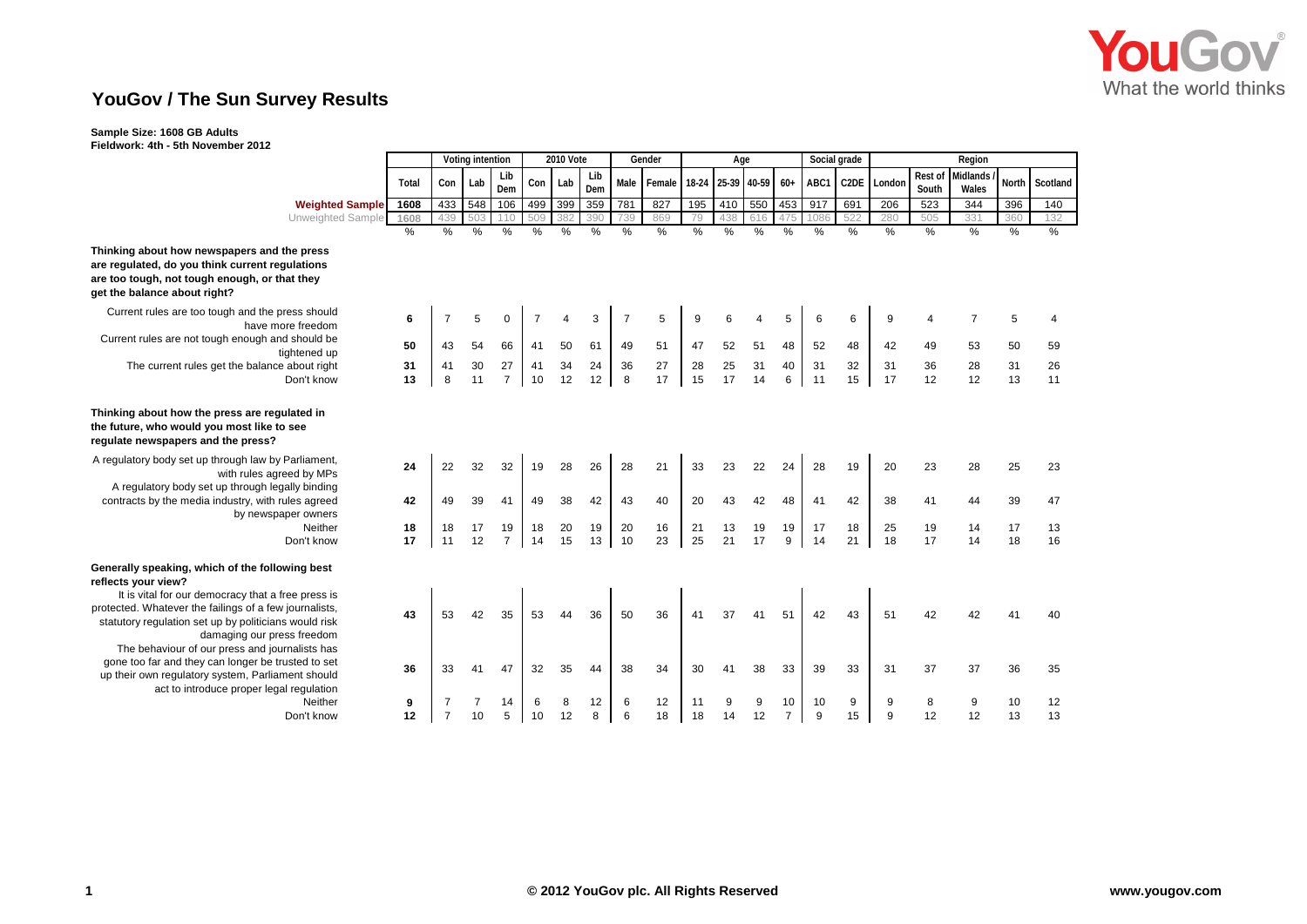

# **YouGov / The Sun Survey Results**

## **Sample Size: 1608 GB Adults Fieldwork: 4th - 5th November 2012**

|                                                                                                                                                                                                       |               | Voting intention |               |                      | <b>2010 Vote</b> |               |               | Gender         |               | Age      |                   |               |                      | Social grade  |               | Region        |               |                |          |                |  |
|-------------------------------------------------------------------------------------------------------------------------------------------------------------------------------------------------------|---------------|------------------|---------------|----------------------|------------------|---------------|---------------|----------------|---------------|----------|-------------------|---------------|----------------------|---------------|---------------|---------------|---------------|----------------|----------|----------------|--|
|                                                                                                                                                                                                       |               |                  |               | Lib                  |                  |               | Lib           |                |               |          |                   |               |                      |               |               |               | Rest of       | Midlands /     |          |                |  |
|                                                                                                                                                                                                       | Total         | Con              | Lab           | Dem                  | Con              | Lab           | Dem           | Male           | Female        |          | 18-24 25-39 40-59 |               | $60+$                | ABC1          | C2DE          | London        | South         | Wales          | North    | Scotland       |  |
| <b>Weighted Sample</b>                                                                                                                                                                                | 1608          | 433              | 548           | 106                  | 499              | 399           | 359           | 781            | 827           | 195      |                   | 410 550       | 453                  | 917           | 691           | 206           | 523           | 344            | 396      | 140            |  |
| <b>Unweighted Sample</b>                                                                                                                                                                              | 1608          | 439              | 503           | 110                  | 509              | 382           | 390           | 739            | 869           | 79       | 438               | 616           | 475                  | 1086          | 522           | 280           | 505           | 33'            | 360      | 132            |  |
|                                                                                                                                                                                                       | $\frac{0}{6}$ | $\frac{0}{6}$    | $\frac{0}{0}$ | $\frac{0}{2}$        | $\frac{0}{0}$    | $\frac{9}{6}$ | $\frac{0}{2}$ | $\frac{0}{0}$  | $\frac{0}{2}$ | %        | $\frac{0}{0}$     | $\frac{0}{2}$ | $\frac{0}{0}$        | $\frac{0}{2}$ | $\frac{0}{2}$ | $\frac{0}{6}$ | $\frac{9}{6}$ | %              | %        | $\frac{0}{0}$  |  |
| Thinking about how newspapers and the press<br>are regulated, do you think current regulations<br>are too tough, not tough enough, or that they<br>get the balance about right?                       |               |                  |               |                      |                  |               |               |                |               |          |                   |               |                      |               |               |               |               |                |          |                |  |
| Current rules are too tough and the press should<br>have more freedom                                                                                                                                 | 6             | $\overline{7}$   | 5             | $\mathbf 0$          |                  |               | 3             | $\overline{7}$ | 5             | 9        |                   |               | 5                    |               | 6             | 9             | 4             | $\overline{7}$ | 5        | $\overline{4}$ |  |
| Current rules are not tough enough and should be<br>tightened up                                                                                                                                      | 50            | 43               | 54            | 66                   | 41               | 50            | 61            | 49             | 51            | 47       | 52                | 51            | 48                   | 52            | 48            | 42            | 49            | 53             | 50       | 59             |  |
| The current rules get the balance about right<br>Don't know                                                                                                                                           | 31<br>13      | 41<br>8          | 30<br>11      | 27<br>$\overline{7}$ | 41<br>10         | 34<br>12      | 24<br>12      | 36<br>8        | 27<br>17      | 28<br>15 | 25<br>17          | 31<br>14      | 40<br>6              | 31<br>11      | 32<br>15      | 31<br>17      | 36<br>12      | 28<br>12       | 31<br>13 | 26<br>11       |  |
| Thinking about how the press are regulated in<br>the future, who would you most like to see<br>regulate newspapers and the press?                                                                     |               |                  |               |                      |                  |               |               |                |               |          |                   |               |                      |               |               |               |               |                |          |                |  |
| A regulatory body set up through law by Parliament,<br>with rules agreed by MPs<br>A regulatory body set up through legally binding                                                                   | 24            | 22               | 32            | 32                   | 19               | 28            | 26            | 28             | 21            | 33       | 23                | 22            | 24                   | 28            | 19            | 20            | 23            | 28             | 25       | 23             |  |
| contracts by the media industry, with rules agreed<br>by newspaper owners                                                                                                                             | 42            | 49               | 39            | 41                   | 49               | 38            | 42            | 43             | 40            | 20       | 43                | 42            | 48                   | 41            | 42            | 38            | 41            | 44             | 39       | 47             |  |
| Neither                                                                                                                                                                                               | 18            | 18               | 17            | 19                   | 18               | 20            | 19            | 20             | 16            | 21       | 13                | 19            | 19                   | 17            | 18            | 25            | 19            | 14             | 17       | 13             |  |
| Don't know                                                                                                                                                                                            | 17            | 11               | 12            | $\overline{7}$       | 14               | 15            | 13            | 10             | 23            | 25       | 21                | 17            | 9                    | 14            | 21            | 18            | 17            | 14             | 18       | 16             |  |
| Generally speaking, which of the following best<br>reflects your view?<br>It is vital for our democracy that a free press is                                                                          |               |                  |               |                      |                  |               |               |                |               |          |                   |               |                      |               |               |               |               |                |          |                |  |
| protected. Whatever the failings of a few journalists,<br>statutory regulation set up by politicians would risk<br>damaging our press freedom                                                         | 43            | 53               | 42            | 35                   | 53               | 44            | 36            | 50             | 36            | 41       | 37                | 41            | 51                   | 42            | 43            | 51            | 42            | 42             | 41       | 40             |  |
| The behaviour of our press and journalists has<br>gone too far and they can longer be trusted to set<br>up their own regulatory system, Parliament should<br>act to introduce proper legal regulation | 36            | 33               | 41            | 47                   | 32               | 35            | 44            | 38             | 34            | 30       | 41                | 38            | 33                   | 39            | 33            | 31            | 37            | 37             | 36       | 35             |  |
| Neither<br>Don't know                                                                                                                                                                                 | 9<br>12       | $\overline{7}$   | 10            | 14<br>5              | 6<br>10          | 8<br>12       | 12<br>8       | 6<br>6         | 12<br>18      | 11<br>18 | 14                | 9<br>12       | 10<br>$\overline{7}$ | 10<br>9       | 9<br>15       | 9<br>9        | 8<br>12       | 9<br>12        | 10<br>13 | 12<br>13       |  |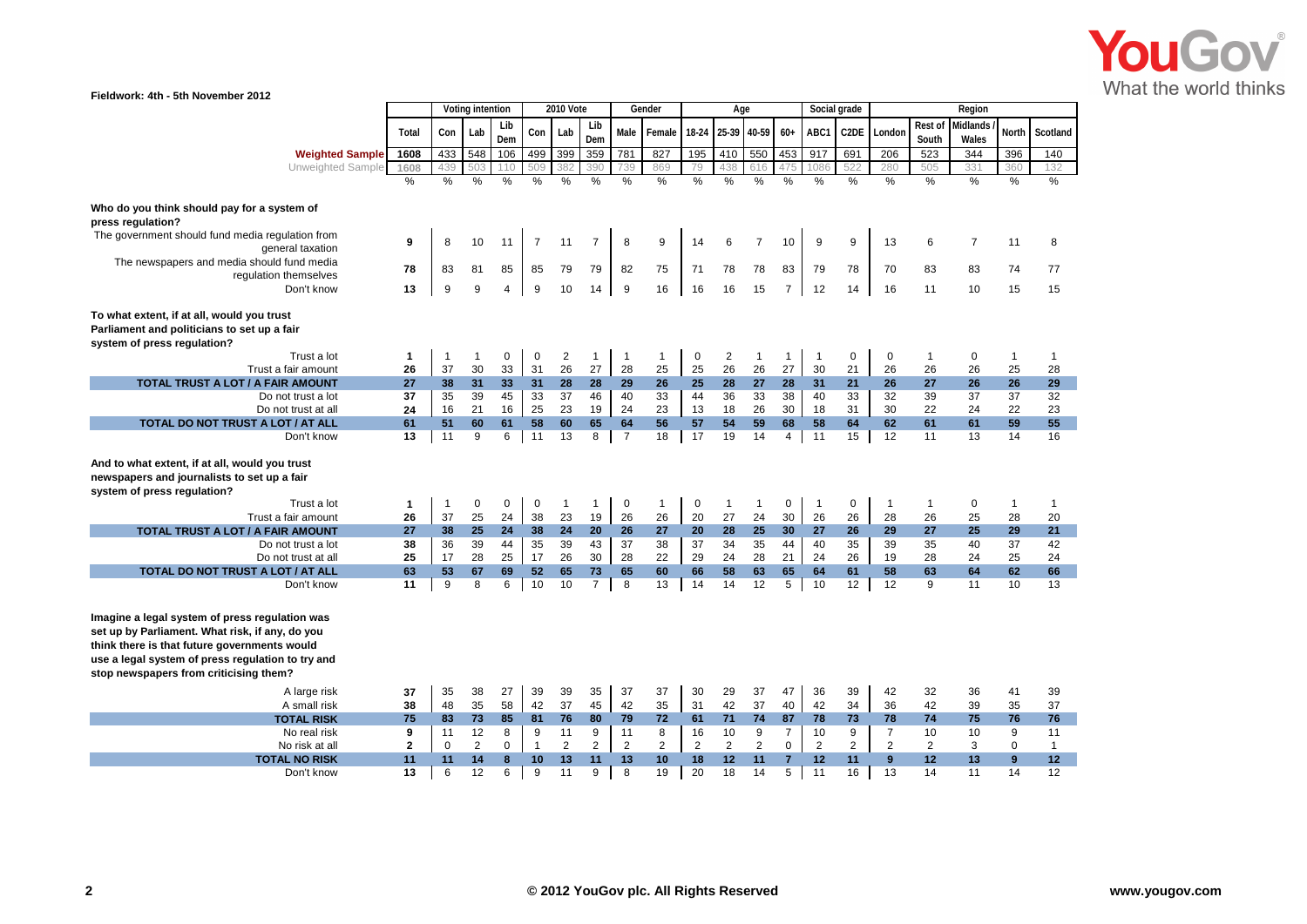

| Fieldwork: 4th - 5th November 2012                                                                                                                                                                                                               |               |                    |                |                |                |                |                    |                   |                      |                |                    |                    |                |                    |                |                    |                    |                   |                      |                    |  |
|--------------------------------------------------------------------------------------------------------------------------------------------------------------------------------------------------------------------------------------------------|---------------|--------------------|----------------|----------------|----------------|----------------|--------------------|-------------------|----------------------|----------------|--------------------|--------------------|----------------|--------------------|----------------|--------------------|--------------------|-------------------|----------------------|--------------------|--|
|                                                                                                                                                                                                                                                  |               | Voting intention   |                |                |                |                | 2010 Vote          | Gender            |                      |                | Age                |                    |                | Social grade       |                |                    |                    | Region            |                      |                    |  |
|                                                                                                                                                                                                                                                  | Total         | Con                | Lab            | Lib<br>Dem     | Con            | Lab            | Lib<br>Dem         | Male              | Female               | 18-24          | 25-39 40-59        |                    | $60+$          | ABC1               |                | C2DE Londor        | Rest of<br>South   | Midlands<br>Wales | <b>North</b>         | Scotland           |  |
| <b>Weighted Sample</b>                                                                                                                                                                                                                           | 1608          | 433                | 548            | 106            | 499            | 399            | 359                | 781               | 827                  | 195            | 410                | 550                | 453            | 917                | 691            | 206                | 523                | 344               | 396                  | 140                |  |
| Unweighted Sample                                                                                                                                                                                                                                | 1608          | 139                | 50.            |                |                |                | 390                |                   | 869                  | 79             | 438                | 616                |                | 086                | 522            | 280                | 505                | 33 <sup>2</sup>   | 360                  | 132                |  |
|                                                                                                                                                                                                                                                  | $\frac{0}{6}$ | $\frac{0}{6}$      | %              | %              | %              | %              | %                  | %                 | $\frac{0}{0}$        | $\frac{0}{6}$  | %                  | %                  | $\frac{0}{0}$  | $\frac{0}{0}$      | $\frac{0}{2}$  | %                  | %                  | $\frac{0}{6}$     | %                    | $\frac{0}{0}$      |  |
|                                                                                                                                                                                                                                                  |               |                    |                |                |                |                |                    |                   |                      |                |                    |                    |                |                    |                |                    |                    |                   |                      |                    |  |
| Who do you think should pay for a system of<br>press regulation?                                                                                                                                                                                 |               |                    |                |                |                |                |                    |                   |                      |                |                    |                    |                |                    |                |                    |                    |                   |                      |                    |  |
| The government should fund media regulation from<br>general taxation                                                                                                                                                                             | 9             | 8                  | 10             | 11             | $\overline{7}$ | 11             | $\overline{7}$     | 8                 | 9                    | 14             | 6                  | $\overline{7}$     | 10             | 9                  | 9              | 13                 | 6                  | $\overline{7}$    | 11                   | 8                  |  |
| The newspapers and media should fund media<br>regulation themselves                                                                                                                                                                              | 78            | 83                 | 81             | 85             | 85             | 79             | 79                 | 82                | 75                   | 71             | 78                 | 78                 | 83             | 79                 | 78             | 70                 | 83                 | 83                | 74                   | 77                 |  |
| Don't know                                                                                                                                                                                                                                       | 13            | 9                  | 9              | $\overline{4}$ | 9              | 10             | 14                 | 9                 | 16                   | 16             | 16                 | 15                 | $\overline{7}$ | 12                 | 14             | 16                 | 11                 | 10                | 15                   | 15                 |  |
| To what extent, if at all, would you trust<br>Parliament and politicians to set up a fair<br>system of press regulation?                                                                                                                         |               |                    |                |                |                |                |                    |                   |                      |                |                    |                    |                |                    |                |                    |                    |                   |                      |                    |  |
| Trust a lot                                                                                                                                                                                                                                      | 1             | $\mathbf{1}$       | $\mathbf{1}$   | 0              | 0              | $\overline{c}$ | $\mathbf{1}$       | $\overline{1}$    | $\mathbf{1}$         | $\mathbf 0$    | 2                  | $\mathbf{1}$       | $\mathbf{1}$   | $\mathbf 1$        | 0              | 0                  | 1                  | 0                 | $\overline{1}$       | $\mathbf{1}$       |  |
| Trust a fair amount                                                                                                                                                                                                                              | 26            | 37                 | 30             | 33             | 31             | 26             | 27                 | 28                | 25                   | 25             | 26                 | 26                 | 27             | 30                 | 21             | 26                 | 26                 | 26                | 25                   | 28                 |  |
| TOTAL TRUST A LOT / A FAIR AMOUNT<br>Do not trust a lot                                                                                                                                                                                          | 27<br>37      | 38<br>35           | 31<br>39       | 33<br>45       | 31<br>33       | 28<br>37       | 28<br>46           | 29<br>40          | 26<br>33             | 25<br>44       | 28<br>36           | 27<br>33           | 28<br>38       | 31<br>40           | 21<br>33       | 26<br>32           | 27<br>39           | 26<br>37          | 26<br>37             | 29<br>32           |  |
| Do not trust at all                                                                                                                                                                                                                              | 24            | 16                 | 21             | 16             | 25             | 23             | 19                 | 24                | 23                   | 13             | 18                 | 26                 | 30             | 18                 | 31             | 30                 | 22                 | 24                | 22                   | 23                 |  |
| TOTAL DO NOT TRUST A LOT / AT ALL                                                                                                                                                                                                                | 61            | 51                 | 60             | 61             | 58             | 60             | 65                 | 64                | 56                   | 57             | 54                 | 59                 | 68             | 58                 | 64             | 62                 | 61                 | 61                | 59                   | 55                 |  |
| Don't know                                                                                                                                                                                                                                       | 13            | 11                 | 9              | 6              | 11             | 13             | 8                  | $\overline{7}$    | 18                   | 17             | 19                 | 14                 | 4              | 11                 | 15             | 12                 | 11                 | 13                | 14                   | 16                 |  |
| And to what extent, if at all, would you trust<br>newspapers and journalists to set up a fair<br>system of press regulation?<br>Trust a lot<br>Trust a fair amount                                                                               | 1<br>26       | $\mathbf{1}$<br>37 | 0<br>25        | 0<br>24        | 0<br>38        | 1<br>23        | $\mathbf{1}$<br>19 | $\mathbf 0$<br>26 | $\overline{1}$<br>26 | 0<br>20        | $\mathbf{1}$<br>27 | $\mathbf{1}$<br>24 | 0<br>30        | $\mathbf{1}$<br>26 | 0<br>26        | $\mathbf{1}$<br>28 | $\mathbf{1}$<br>26 | 0<br>25           | $\overline{1}$<br>28 | $\mathbf{1}$<br>20 |  |
| TOTAL TRUST A LOT / A FAIR AMOUNT                                                                                                                                                                                                                | 27            | 38                 | 25             | 24             | 38             | 24             | 20                 | 26                | 27                   | 20             | 28                 | 25                 | 30             | 27                 | 26             | 29                 | 27                 | 25                | 29                   | 21                 |  |
| Do not trust a lot                                                                                                                                                                                                                               | 38            | 36                 | 39             | 44             | 35             | 39             | 43                 | 37                | 38                   | 37             | 34                 | 35                 | 44             | 40                 | 35             | 39                 | 35                 | 40                | 37                   | 42                 |  |
| Do not trust at all                                                                                                                                                                                                                              | 25            | 17                 | 28             | 25             | 17             | 26             | 30                 | 28                | 22                   | 29             | 24                 | 28                 | 21             | 24                 | 26             | 19                 | 28                 | 24                | 25                   | 24                 |  |
| TOTAL DO NOT TRUST A LOT / AT ALL                                                                                                                                                                                                                | 63            | 53                 | 67             | 69             | 52             | 65             | 73                 | 65                | 60                   | 66             | 58                 | 63                 | 65             | 64                 | 61             | 58                 | 63                 | 64                | 62                   | 66                 |  |
| Don't know                                                                                                                                                                                                                                       | 11            | 9                  | 8              | 6              | 10             | 10             | $\overline{7}$     | 8                 | 13                   | 14             | 14                 | 12                 | 5              | 10                 | 12             | 12                 | 9                  | 11                | 10                   | 13                 |  |
| Imagine a legal system of press regulation was<br>set up by Parliament. What risk, if any, do you<br>think there is that future governments would<br>use a legal system of press regulation to try and<br>stop newspapers from criticising them? |               |                    |                |                |                |                |                    |                   |                      |                |                    |                    |                |                    |                |                    |                    |                   |                      |                    |  |
| A large risk                                                                                                                                                                                                                                     | 37            | 35                 | 38             | 27             | 39             | 39             | 35                 | 37                | 37                   | 30             | 29                 | 37                 | 47             | 36                 | 39             | 42                 | 32                 | 36                | 41                   | 39                 |  |
| A small risk                                                                                                                                                                                                                                     | 38            | 48                 | 35             | 58             | 42             | 37             | 45                 | 42                | 35                   | 31             | 42                 | 37                 | 40             | 42                 | 34             | 36                 | 42                 | 39                | 35                   | 37                 |  |
| <b>TOTAL RISK</b>                                                                                                                                                                                                                                | 75            | 83                 | 73             | 85             | 81             | 76             | 80                 | 79                | 72                   | 61             | 71                 | 74                 | 87             | 78                 | 73             | 78                 | 74                 | 75                | 76                   | 76                 |  |
| No real risk                                                                                                                                                                                                                                     | 9             | 11                 | 12             | 8              | 9              | 11             | 9                  | 11                | 8                    | 16             | 10                 | 9                  | $\overline{7}$ | 10                 | 9              | $\overline{7}$     | 10                 | 10                | 9                    | 11                 |  |
| No risk at all                                                                                                                                                                                                                                   | $\mathbf{2}$  | $\mathbf 0$        | $\overline{2}$ | $\mathbf 0$    | $\mathbf{1}$   | $\overline{2}$ | $\overline{2}$     | $\overline{c}$    | $\overline{2}$       | $\overline{2}$ | $\overline{2}$     | $\overline{2}$     | 0              | $\overline{2}$     | $\overline{2}$ | $\overline{2}$     | 2                  | 3                 | $\mathbf 0$          | $\mathbf{1}$       |  |
| <b>TOTAL NO RISK</b>                                                                                                                                                                                                                             | 11            | 11                 | 14             | $\bf{8}$       | 10             | 13             | 11                 | 13                | 10                   | 18             | 12                 | 11                 | $\overline{7}$ | 12                 | 11             | 9                  | 12                 | 13                | 9                    | 12                 |  |
| Don't know                                                                                                                                                                                                                                       | 13            | 6                  | 12             | 6              | 9              | 11             | 9                  | 8                 | 19                   | 20             | 18                 | 14                 | 5              | 11                 | 16             | 13                 | 14                 | 11                | 14                   | 12                 |  |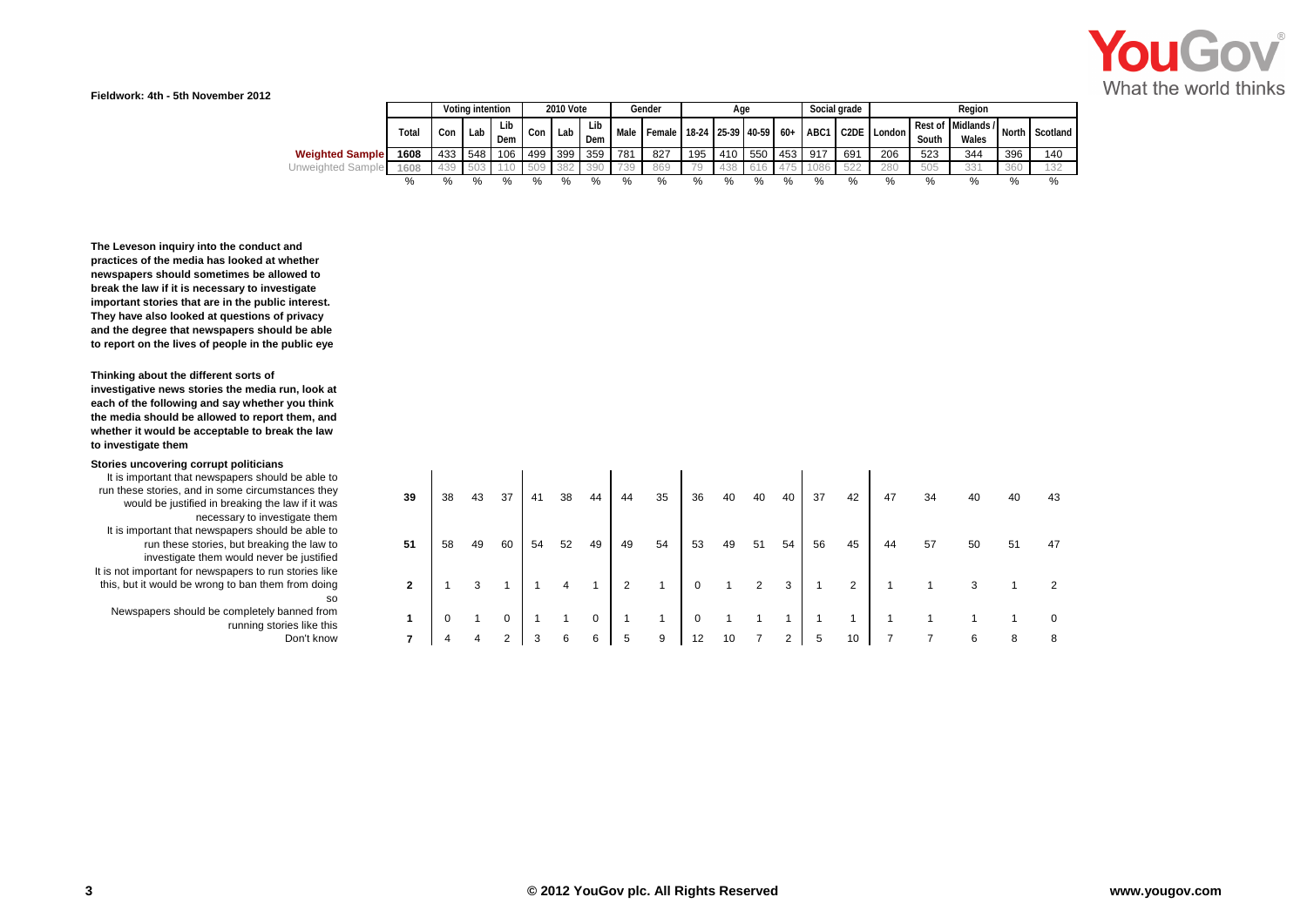

**Fieldwork: 4th - 5th November 2012**

|                        |       |     | 2010 Vote<br>Voting intention |            |     |     |            | Gender |                              | Age  |      |               |      | Social grade | Region |             |       |                             |       |          |  |  |
|------------------------|-------|-----|-------------------------------|------------|-----|-----|------------|--------|------------------------------|------|------|---------------|------|--------------|--------|-------------|-------|-----------------------------|-------|----------|--|--|
|                        | Total | Con | Lab I                         | Lib<br>Dem | Con | Lab | Lib<br>Dem | Male   | Female 18-24 25-39 40-59 60+ |      |      |               |      | ABC1         |        | C2DE London | South | Rest of Midlands /<br>Wales | North | Scotland |  |  |
| <b>Weighted Sample</b> | 1608  | 433 | 548                           | 106        | 499 | 399 | 359        | 781    | 827                          | 195  | 410  | 550           | 453  | 917          | 691    | 206         | 523   | 344                         | 396   | 140      |  |  |
| Unweighted Sample      | 1608  | 439 | 503                           |            | 509 | 382 | 390        | 739    | 869                          | 79   | 438  | 616           |      | 1086         | 522    | 280         | 505   | 331                         | 360   | 132      |  |  |
|                        |       |     | %                             | $\%$       | %   | %   | %          | %      |                              | $\%$ | $\%$ | $\frac{0}{0}$ | $\%$ |              | %      | %           | %     | %                           |       | %        |  |  |

**The Leveson inquiry into the conduct and practices of the media has looked at whether newspapers should sometimes be allowed to break the law if it is necessary to investigate important stories that are in the public interest. They have also looked at questions of privacy and the degree that newspapers should be able to report on the lives of people in the public eye**

**Thinking about the different sorts of** 

**investigative news stories the media run, look at each of the following and say whether you think the media should be allowed to report them, and whether it would be acceptable to break the law to investigate them**

**Stories uncovering corrupt politicians**

It is important that newspapers should be able to run these stories, and in some circumstances they would be justified in breaking the law if it was necessary to investigate them It is important that newspapers should be able to run these stories, but breaking the law to investigate them would never be justified It is not important for newspapers to run stories like this, but it would be wrong to ban them from doing so

Newspapers should be completely banned from

| apers should be able to<br>me circumstances they<br>reaking the law if it was<br>ary to investigate them | 39             | 38 | 43 | 37 | 41 | 38 | 44 | 44 | 35 | 36 | 40 | 40 | 40 | 37 | 42 | 47 | 34 | 40 | 40 | 43       |
|----------------------------------------------------------------------------------------------------------|----------------|----|----|----|----|----|----|----|----|----|----|----|----|----|----|----|----|----|----|----------|
| apers should be able to<br>but breaking the law to<br>vould never be justified                           | 51             | 58 | 49 | 60 | 54 | 52 | 49 | 49 | 54 | 53 | 49 | 51 | 54 | 56 | 45 | 44 | 57 | 50 | 51 | 47       |
| apers to run stories like<br>to ban them from doing<br>so                                                | $\overline{2}$ |    | 3  |    |    | 4  |    |    |    |    |    |    | 3  |    | 2  |    |    |    |    |          |
| ompletely banned from<br>running stories like this                                                       |                |    |    |    |    |    | 0  |    |    | 0  |    |    |    |    |    |    |    |    |    | $\Omega$ |
| Don't know                                                                                               |                |    |    | ົ  |    | 6  | 6  |    | 9  | 12 |    |    |    |    | 10 |    |    |    | 8  | 8        |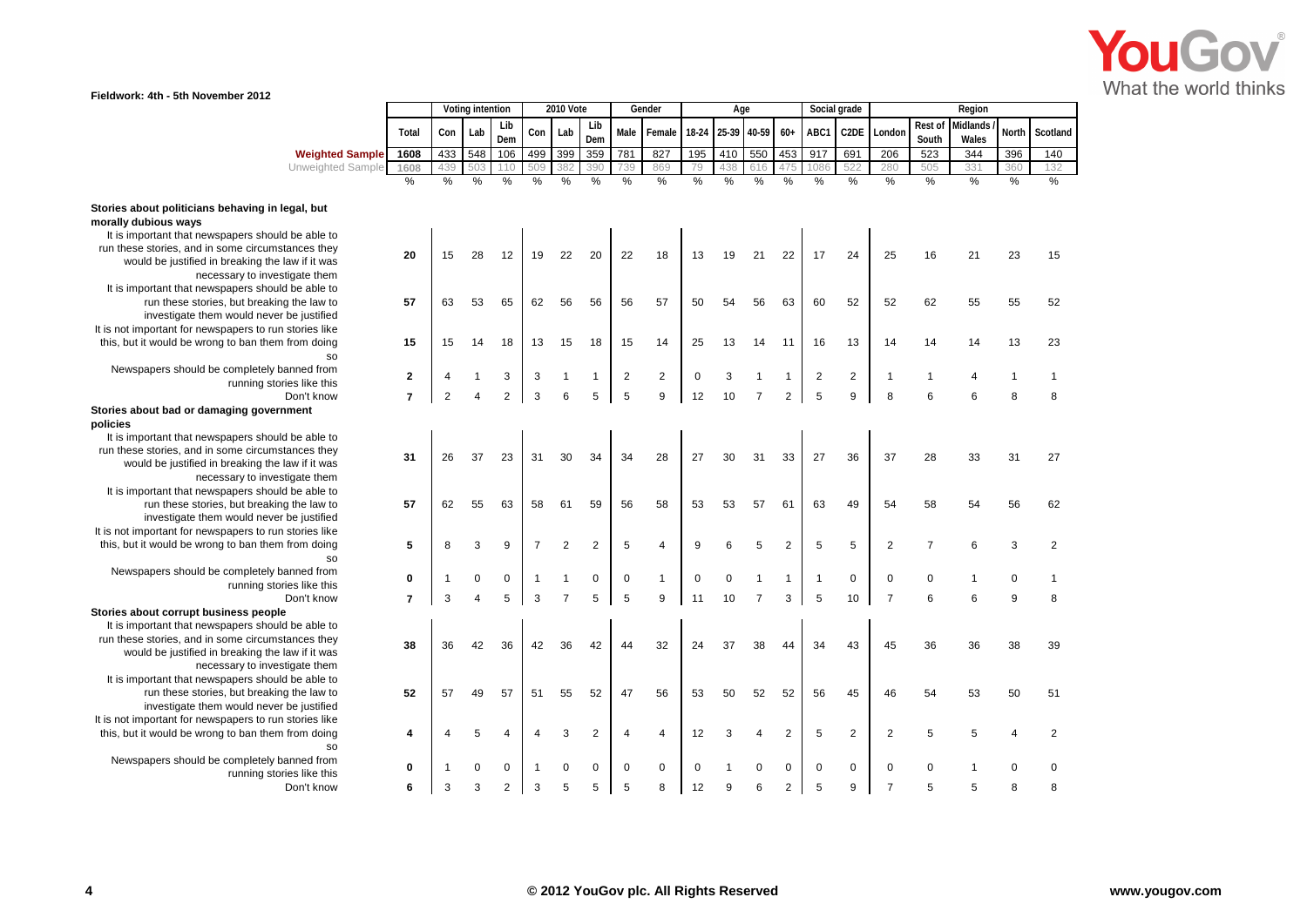

## **Fieldwork: 4th - 5th November 2012**

|                                                        |                         |                | Voting intention        |                | <b>2010 Vote</b> |                |                | Gender                  |                  | Age         |                   |                |                | Social grade            |                |                |                  | Region            |              |                |
|--------------------------------------------------------|-------------------------|----------------|-------------------------|----------------|------------------|----------------|----------------|-------------------------|------------------|-------------|-------------------|----------------|----------------|-------------------------|----------------|----------------|------------------|-------------------|--------------|----------------|
|                                                        | Total                   | Con            | Lab                     | Lib<br>Dem     | Con              | Lab            | Lib<br>Dem     | Male                    | Female           |             | 18-24 25-39 40-59 |                | $60+$          | ABC1                    | C2DE           | London         | Rest of<br>South | Midlands<br>Wales | North        | Scotland       |
| <b>Weighted Sample</b>                                 | 1608                    | 433            | 548                     | 106            | 499              | 399            | 359            | 781                     | 827              | 195         | 410               | 550            | 453            | 917                     | 691            | 206            | 523              | 344               | 396          | 140            |
| Unweighted Sample                                      | 1608                    | 439            | 503                     | 110            | 509              | 382            | 390            | 739                     | 869              | 79          | 438               | 616            | 475            | 1086                    | 522            | 280            | 505              | 331               | 360          | 132            |
|                                                        | %                       | %              | $\frac{0}{6}$           | $\frac{0}{0}$  | $\frac{0}{0}$    | $\frac{0}{0}$  | %              | %                       | %                | $\%$        | %                 | $\frac{0}{0}$  | $\frac{0}{0}$  | $\frac{9}{6}$           | %              | $\frac{0}{0}$  | $\frac{0}{0}$    | $\frac{0}{6}$     | %            | $\%$           |
| Stories about politicians behaving in legal, but       |                         |                |                         |                |                  |                |                |                         |                  |             |                   |                |                |                         |                |                |                  |                   |              |                |
| morally dubious ways                                   |                         |                |                         |                |                  |                |                |                         |                  |             |                   |                |                |                         |                |                |                  |                   |              |                |
| It is important that newspapers should be able to      |                         |                |                         |                |                  |                |                |                         |                  |             |                   |                |                |                         |                |                |                  |                   |              |                |
| run these stories, and in some circumstances they      | 20                      | 15             | 28                      | 12             | 19               | 22             | 20             | 22                      | 18               | 13          | 19                | 21             | 22             | 17                      | 24             | 25             | 16               | 21                | 23           | 15             |
| would be justified in breaking the law if it was       |                         |                |                         |                |                  |                |                |                         |                  |             |                   |                |                |                         |                |                |                  |                   |              |                |
| necessary to investigate them                          |                         |                |                         |                |                  |                |                |                         |                  |             |                   |                |                |                         |                |                |                  |                   |              |                |
| It is important that newspapers should be able to      |                         |                |                         |                |                  |                |                |                         |                  |             |                   |                |                |                         |                |                |                  |                   |              |                |
| run these stories, but breaking the law to             | 57                      | 63             | 53                      | 65             | 62               | 56             | 56             | 56                      | 57               | 50          | 54                | 56             | 63             | 60                      | 52             | 52             | 62               | 55                | 55           | 52             |
| investigate them would never be justified              |                         |                |                         |                |                  |                |                |                         |                  |             |                   |                |                |                         |                |                |                  |                   |              |                |
| It is not important for newspapers to run stories like |                         |                |                         |                |                  |                |                |                         |                  |             |                   |                |                |                         |                |                |                  |                   |              |                |
| this, but it would be wrong to ban them from doing     | 15                      | 15             | 14                      | 18             | 13               | 15             | 18             | 15                      | 14               | 25          | 13                | 14             | 11             | 16                      | 13             | 14             | 14               | 14                | 13           | 23             |
|                                                        |                         |                |                         |                |                  |                |                |                         |                  |             |                   |                |                |                         |                |                |                  |                   |              |                |
| Newspapers should be completely banned from            |                         |                |                         |                |                  |                |                |                         |                  |             |                   |                |                |                         |                |                |                  |                   |              |                |
| running stories like this                              | $\boldsymbol{2}$        | 4              |                         | 3              | 3                |                | $\mathbf{1}$   | $\overline{\mathbf{c}}$ | $\boldsymbol{2}$ | $\mathbf 0$ | 3                 |                | 1              | $\overline{\mathbf{c}}$ | $\overline{c}$ | -1             | $\overline{1}$   | $\overline{4}$    | $\mathbf{1}$ | 1              |
| Don't know                                             | $\overline{7}$          | $\overline{2}$ | $\overline{4}$          | $\overline{2}$ | 3                | 6              | 5              | 5                       | 9                | 12          | 10                | $\overline{7}$ | $\overline{2}$ | 5                       | 9              | 8              | 6                | 6                 | 8            | 8              |
| Stories about bad or damaging government               |                         |                |                         |                |                  |                |                |                         |                  |             |                   |                |                |                         |                |                |                  |                   |              |                |
| policies                                               |                         |                |                         |                |                  |                |                |                         |                  |             |                   |                |                |                         |                |                |                  |                   |              |                |
| It is important that newspapers should be able to      |                         |                |                         |                |                  |                |                |                         |                  |             |                   |                |                |                         |                |                |                  |                   |              |                |
| run these stories, and in some circumstances they      |                         |                |                         |                |                  |                |                |                         |                  |             |                   |                |                |                         |                |                |                  |                   |              |                |
| would be justified in breaking the law if it was       | 31                      | 26             | 37                      | 23             | 31               | 30             | 34             | 34                      | 28               | 27          | 30                | 31             | 33             | 27                      | 36             | 37             | 28               | 33                | 31           | 27             |
| necessary to investigate them                          |                         |                |                         |                |                  |                |                |                         |                  |             |                   |                |                |                         |                |                |                  |                   |              |                |
| It is important that newspapers should be able to      |                         |                |                         |                |                  |                |                |                         |                  |             |                   |                |                |                         |                |                |                  |                   |              |                |
| run these stories, but breaking the law to             | 57                      | 62             | 55                      | 63             | 58               | 61             | 59             | 56                      | 58               | 53          | 53                | 57             | 61             | 63                      | 49             | 54             | 58               | 54                | 56           | 62             |
| investigate them would never be justified              |                         |                |                         |                |                  |                |                |                         |                  |             |                   |                |                |                         |                |                |                  |                   |              |                |
| It is not important for newspapers to run stories like |                         |                |                         |                |                  |                |                |                         |                  |             |                   |                |                |                         |                |                |                  |                   |              |                |
| this, but it would be wrong to ban them from doing     | 5                       | 8              | 3                       | 9              | $\overline{7}$   | $\overline{2}$ | $\overline{2}$ | 5                       | $\overline{4}$   | 9           | 6                 | 5              | 2              | 5                       | 5              | $\overline{2}$ | $\overline{7}$   | 6                 | 3            | $\overline{2}$ |
|                                                        |                         |                |                         |                |                  |                |                |                         |                  |             |                   |                |                |                         |                |                |                  |                   |              |                |
| Newspapers should be completely banned from            |                         |                |                         |                |                  |                |                |                         |                  |             |                   |                |                |                         |                |                |                  |                   |              |                |
| running stories like this                              | 0                       | $\mathbf{1}$   | 0                       | $\mathbf 0$    |                  |                | $\mathbf 0$    | 0                       | $\mathbf{1}$     | $\mathbf 0$ | $\Omega$          |                | 1              | $\mathbf{1}$            | $\mathbf 0$    | $\mathbf 0$    | $\mathbf 0$      | 1                 | 0            |                |
| Don't know                                             | $\overline{\mathbf{r}}$ | 3              | $\overline{\mathbf{A}}$ | 5              | 3                | $\overline{7}$ | 5              | 5                       | 9                | 11          | 10                | $\overline{7}$ | 3              | 5                       | 10             | $\overline{7}$ | 6                | 6                 | 9            | 8              |
| Stories about corrupt business people                  |                         |                |                         |                |                  |                |                |                         |                  |             |                   |                |                |                         |                |                |                  |                   |              |                |
| It is important that newspapers should be able to      |                         |                |                         |                |                  |                |                |                         |                  |             |                   |                |                |                         |                |                |                  |                   |              |                |
| run these stories, and in some circumstances they      |                         |                |                         |                |                  |                |                |                         |                  |             |                   |                |                |                         |                |                |                  |                   |              |                |
| would be justified in breaking the law if it was       | 38                      | 36             | 42                      | 36             | 42               | 36             | 42             | 44                      | 32               | 24          | 37                | 38             | 44             | 34                      | 43             | 45             | 36               | 36                | 38           | 39             |
| necessary to investigate them                          |                         |                |                         |                |                  |                |                |                         |                  |             |                   |                |                |                         |                |                |                  |                   |              |                |
| It is important that newspapers should be able to      |                         |                |                         |                |                  |                |                |                         |                  |             |                   |                |                |                         |                |                |                  |                   |              |                |
| run these stories, but breaking the law to             | 52                      | 57             | 49                      | 57             | 51               | 55             | 52             | 47                      | 56               | 53          | 50                | 52             | 52             | 56                      | 45             | 46             | 54               | 53                | 50           | 51             |
| investigate them would never be justified              |                         |                |                         |                |                  |                |                |                         |                  |             |                   |                |                |                         |                |                |                  |                   |              |                |
| It is not important for newspapers to run stories like |                         |                |                         |                |                  |                |                |                         |                  |             |                   |                |                |                         |                |                |                  |                   |              |                |
| this, but it would be wrong to ban them from doing     | 4                       |                | 5                       |                |                  | 3              | $\overline{2}$ | 4                       | $\overline{4}$   | 12          | 3                 | 4              | $\overline{2}$ | 5                       | 2              | $\overline{2}$ | 5                | 5                 | 4            | $\overline{2}$ |
| <b>SO</b>                                              |                         |                |                         |                |                  |                |                |                         |                  |             |                   |                |                |                         |                |                |                  |                   |              |                |
| Newspapers should be completely banned from            |                         |                |                         |                |                  |                |                |                         |                  |             |                   |                |                |                         |                |                |                  |                   |              |                |
| running stories like this                              | 0                       | $\mathbf 1$    | 0                       | 0              |                  | $\Omega$       | $\mathbf 0$    | 0                       | $\mathbf 0$      | $\Omega$    |                   | 0              | 0              | $\mathbf 0$             | 0              | $\mathbf 0$    | $\mathbf 0$      |                   | $\mathbf 0$  | 0              |
| Don't know                                             | 6                       | 3              | 3                       | $\overline{2}$ | 3                | 5              | 5              | 5                       | 8                | 12          | 9                 | 6              | 2              | 5                       | 9              | 7              | 5                | 5                 | 8            | 8              |
|                                                        |                         |                |                         |                |                  |                |                |                         |                  |             |                   |                |                |                         |                |                |                  |                   |              |                |